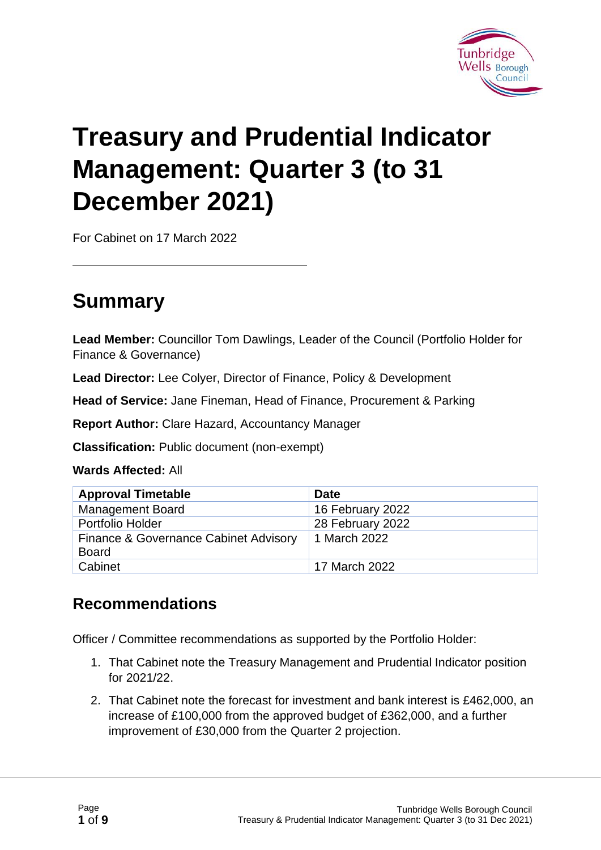

# **Treasury and Prudential Indicator Management: Quarter 3 (to 31 December 2021)**

For Cabinet on 17 March 2022

# **Summary**

**Lead Member:** Councillor Tom Dawlings, Leader of the Council (Portfolio Holder for Finance & Governance)

**Lead Director:** Lee Colyer, Director of Finance, Policy & Development

**Head of Service:** Jane Fineman, Head of Finance, Procurement & Parking

**Report Author:** Clare Hazard, Accountancy Manager

**Classification:** Public document (non-exempt)

**Wards Affected:** All

| <b>Approval Timetable</b>                             | <b>Date</b>      |
|-------------------------------------------------------|------------------|
| <b>Management Board</b>                               | 16 February 2022 |
| Portfolio Holder                                      | 28 February 2022 |
| Finance & Governance Cabinet Advisory<br><b>Board</b> | 1 March 2022     |
| Cabinet                                               | 17 March 2022    |

#### **Recommendations**

Officer / Committee recommendations as supported by the Portfolio Holder:

- 1. That Cabinet note the Treasury Management and Prudential Indicator position for 2021/22.
- 2. That Cabinet note the forecast for investment and bank interest is £462,000, an increase of £100,000 from the approved budget of £362,000, and a further improvement of £30,000 from the Quarter 2 projection.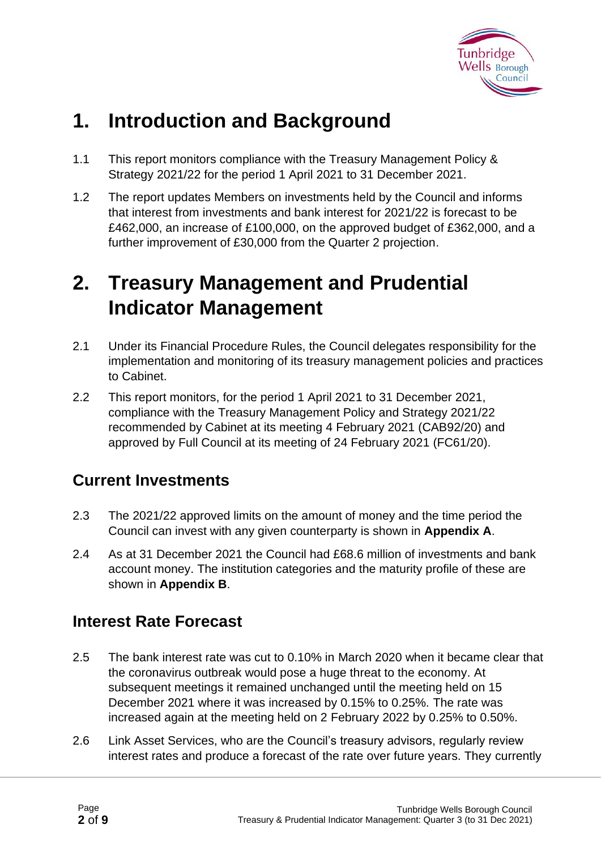

# **1. Introduction and Background**

- 1.1 This report monitors compliance with the Treasury Management Policy & Strategy 2021/22 for the period 1 April 2021 to 31 December 2021.
- 1.2 The report updates Members on investments held by the Council and informs that interest from investments and bank interest for 2021/22 is forecast to be £462,000, an increase of £100,000, on the approved budget of £362,000, and a further improvement of £30,000 from the Quarter 2 projection.

# **2. Treasury Management and Prudential Indicator Management**

- 2.1 Under its Financial Procedure Rules, the Council delegates responsibility for the implementation and monitoring of its treasury management policies and practices to Cabinet.
- 2.2 This report monitors, for the period 1 April 2021 to 31 December 2021, compliance with the Treasury Management Policy and Strategy 2021/22 recommended by Cabinet at its meeting 4 February 2021 (CAB92/20) and approved by Full Council at its meeting of 24 February 2021 (FC61/20).

#### **Current Investments**

- 2.3 The 2021/22 approved limits on the amount of money and the time period the Council can invest with any given counterparty is shown in **Appendix A**.
- 2.4 As at 31 December 2021 the Council had £68.6 million of investments and bank account money. The institution categories and the maturity profile of these are shown in **Appendix B**.

#### **Interest Rate Forecast**

- 2.5 The bank interest rate was cut to 0.10% in March 2020 when it became clear that the coronavirus outbreak would pose a huge threat to the economy. At subsequent meetings it remained unchanged until the meeting held on 15 December 2021 where it was increased by 0.15% to 0.25%. The rate was increased again at the meeting held on 2 February 2022 by 0.25% to 0.50%.
- 2.6 Link Asset Services, who are the Council's treasury advisors, regularly review interest rates and produce a forecast of the rate over future years. They currently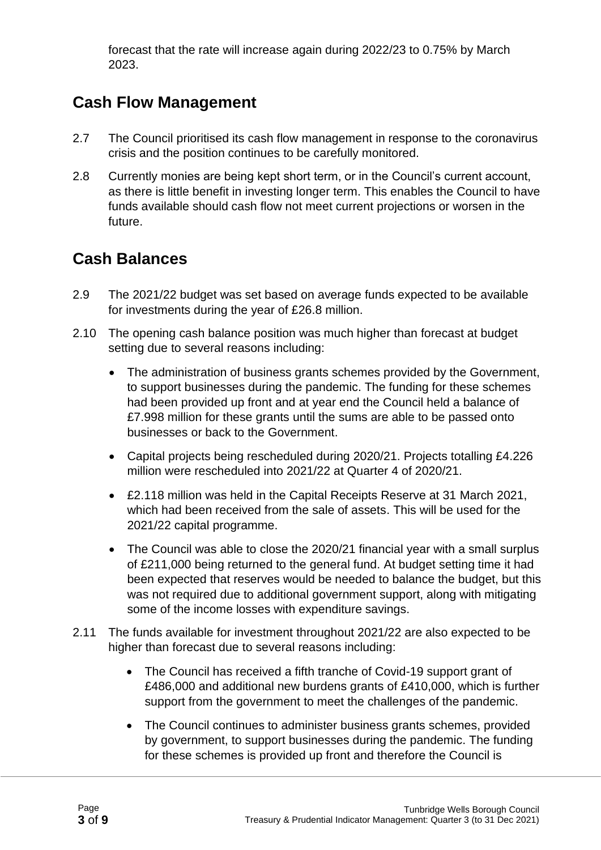forecast that the rate will increase again during 2022/23 to 0.75% by March 2023.

### **Cash Flow Management**

- 2.7 The Council prioritised its cash flow management in response to the coronavirus crisis and the position continues to be carefully monitored.
- 2.8 Currently monies are being kept short term, or in the Council's current account, as there is little benefit in investing longer term. This enables the Council to have funds available should cash flow not meet current projections or worsen in the future.

#### **Cash Balances**

- 2.9 The 2021/22 budget was set based on average funds expected to be available for investments during the year of £26.8 million.
- 2.10 The opening cash balance position was much higher than forecast at budget setting due to several reasons including:
	- The administration of business grants schemes provided by the Government, to support businesses during the pandemic. The funding for these schemes had been provided up front and at year end the Council held a balance of £7.998 million for these grants until the sums are able to be passed onto businesses or back to the Government.
	- Capital projects being rescheduled during 2020/21. Projects totalling £4.226 million were rescheduled into 2021/22 at Quarter 4 of 2020/21.
	- £2.118 million was held in the Capital Receipts Reserve at 31 March 2021, which had been received from the sale of assets. This will be used for the 2021/22 capital programme.
	- The Council was able to close the 2020/21 financial year with a small surplus of £211,000 being returned to the general fund. At budget setting time it had been expected that reserves would be needed to balance the budget, but this was not required due to additional government support, along with mitigating some of the income losses with expenditure savings.
- 2.11 The funds available for investment throughout 2021/22 are also expected to be higher than forecast due to several reasons including:
	- The Council has received a fifth tranche of Covid-19 support grant of £486,000 and additional new burdens grants of £410,000, which is further support from the government to meet the challenges of the pandemic.
	- The Council continues to administer business grants schemes, provided by government, to support businesses during the pandemic. The funding for these schemes is provided up front and therefore the Council is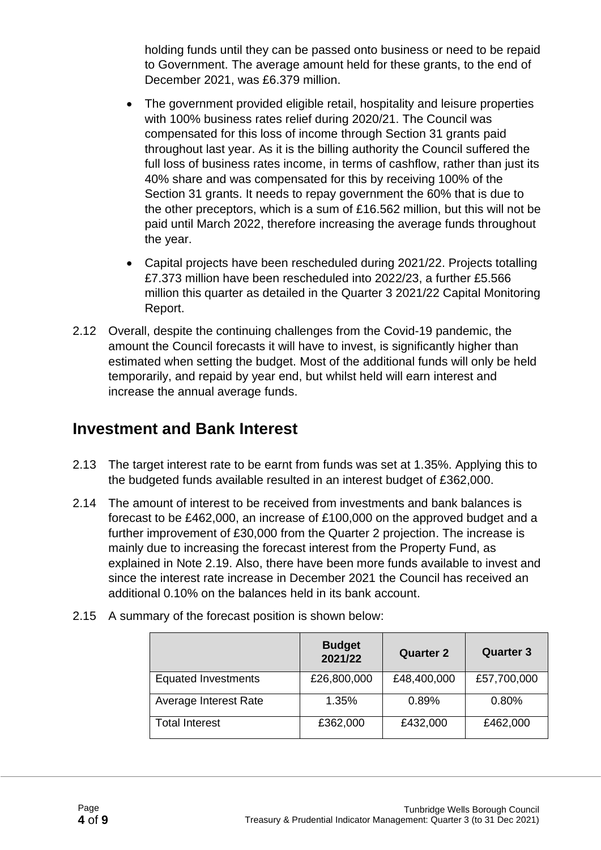holding funds until they can be passed onto business or need to be repaid to Government. The average amount held for these grants, to the end of December 2021, was £6.379 million.

- The government provided eligible retail, hospitality and leisure properties with 100% business rates relief during 2020/21. The Council was compensated for this loss of income through Section 31 grants paid throughout last year. As it is the billing authority the Council suffered the full loss of business rates income, in terms of cashflow, rather than just its 40% share and was compensated for this by receiving 100% of the Section 31 grants. It needs to repay government the 60% that is due to the other preceptors, which is a sum of £16.562 million, but this will not be paid until March 2022, therefore increasing the average funds throughout the year.
- Capital projects have been rescheduled during 2021/22. Projects totalling £7.373 million have been rescheduled into 2022/23, a further £5.566 million this quarter as detailed in the Quarter 3 2021/22 Capital Monitoring Report.
- 2.12 Overall, despite the continuing challenges from the Covid-19 pandemic, the amount the Council forecasts it will have to invest, is significantly higher than estimated when setting the budget. Most of the additional funds will only be held temporarily, and repaid by year end, but whilst held will earn interest and increase the annual average funds.

#### **Investment and Bank Interest**

- 2.13 The target interest rate to be earnt from funds was set at 1.35%. Applying this to the budgeted funds available resulted in an interest budget of £362,000.
- 2.14 The amount of interest to be received from investments and bank balances is forecast to be £462,000, an increase of £100,000 on the approved budget and a further improvement of £30,000 from the Quarter 2 projection. The increase is mainly due to increasing the forecast interest from the Property Fund, as explained in Note 2.19. Also, there have been more funds available to invest and since the interest rate increase in December 2021 the Council has received an additional 0.10% on the balances held in its bank account.

|                            | <b>Budget</b><br>2021/22 | <b>Quarter 2</b> | <b>Quarter 3</b> |
|----------------------------|--------------------------|------------------|------------------|
| <b>Equated Investments</b> | £26,800,000              | £48,400,000      | £57,700,000      |
| Average Interest Rate      | 1.35%                    | 0.89%            | 0.80%            |
| <b>Total Interest</b>      | £362,000                 | £432,000         | £462,000         |

2.15 A summary of the forecast position is shown below: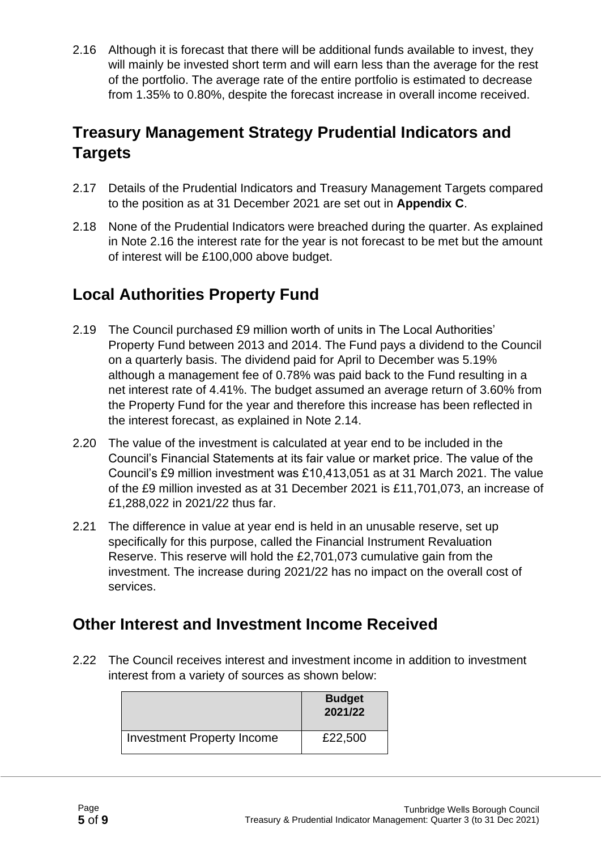2.16 Although it is forecast that there will be additional funds available to invest, they will mainly be invested short term and will earn less than the average for the rest of the portfolio. The average rate of the entire portfolio is estimated to decrease from 1.35% to 0.80%, despite the forecast increase in overall income received.

### **Treasury Management Strategy Prudential Indicators and Targets**

- 2.17 Details of the Prudential Indicators and Treasury Management Targets compared to the position as at 31 December 2021 are set out in **Appendix C**.
- 2.18 None of the Prudential Indicators were breached during the quarter. As explained in Note 2.16 the interest rate for the year is not forecast to be met but the amount of interest will be £100,000 above budget.

### **Local Authorities Property Fund**

- 2.19 The Council purchased £9 million worth of units in The Local Authorities' Property Fund between 2013 and 2014. The Fund pays a dividend to the Council on a quarterly basis. The dividend paid for April to December was 5.19% although a management fee of 0.78% was paid back to the Fund resulting in a net interest rate of 4.41%. The budget assumed an average return of 3.60% from the Property Fund for the year and therefore this increase has been reflected in the interest forecast, as explained in Note 2.14.
- 2.20 The value of the investment is calculated at year end to be included in the Council's Financial Statements at its fair value or market price. The value of the Council's £9 million investment was £10,413,051 as at 31 March 2021. The value of the £9 million invested as at 31 December 2021 is £11,701,073, an increase of £1,288,022 in 2021/22 thus far.
- 2.21 The difference in value at year end is held in an unusable reserve, set up specifically for this purpose, called the Financial Instrument Revaluation Reserve. This reserve will hold the £2,701,073 cumulative gain from the investment. The increase during 2021/22 has no impact on the overall cost of services.

#### **Other Interest and Investment Income Received**

2.22 The Council receives interest and investment income in addition to investment interest from a variety of sources as shown below:

|                                   | <b>Budget</b><br>2021/22 |
|-----------------------------------|--------------------------|
| <b>Investment Property Income</b> | £22,500                  |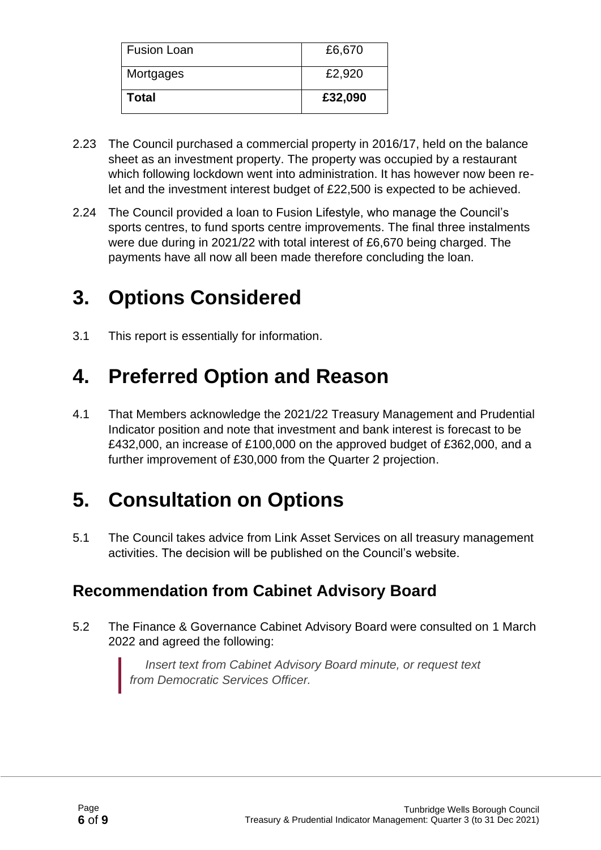| <b>Total</b>       | £32,090 |
|--------------------|---------|
| Mortgages          | £2,920  |
| <b>Fusion Loan</b> | £6,670  |

- 2.23 The Council purchased a commercial property in 2016/17, held on the balance sheet as an investment property. The property was occupied by a restaurant which following lockdown went into administration. It has however now been relet and the investment interest budget of £22,500 is expected to be achieved.
- 2.24 The Council provided a loan to Fusion Lifestyle, who manage the Council's sports centres, to fund sports centre improvements. The final three instalments were due during in 2021/22 with total interest of £6,670 being charged. The payments have all now all been made therefore concluding the loan.

# **3. Options Considered**

3.1 This report is essentially for information.

# **4. Preferred Option and Reason**

4.1 That Members acknowledge the 2021/22 Treasury Management and Prudential Indicator position and note that investment and bank interest is forecast to be £432,000, an increase of £100,000 on the approved budget of £362,000, and a further improvement of £30,000 from the Quarter 2 projection.

# **5. Consultation on Options**

5.1 The Council takes advice from Link Asset Services on all treasury management activities. The decision will be published on the Council's website.

#### **Recommendation from Cabinet Advisory Board**

5.2 The Finance & Governance Cabinet Advisory Board were consulted on 1 March 2022 and agreed the following:

> *Insert text from Cabinet Advisory Board minute, or request text from Democratic Services Officer.*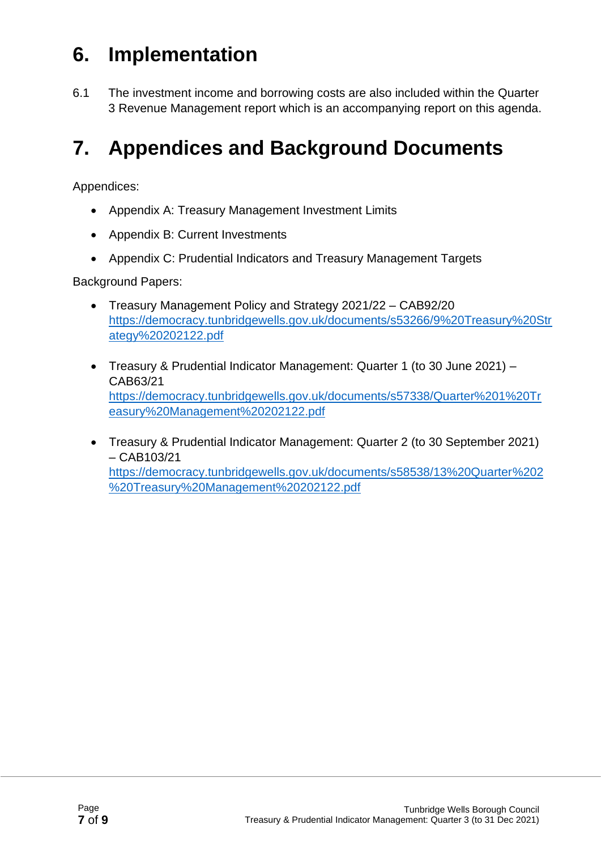# **6. Implementation**

6.1 The investment income and borrowing costs are also included within the Quarter 3 Revenue Management report which is an accompanying report on this agenda.

# **7. Appendices and Background Documents**

Appendices:

- Appendix A: Treasury Management Investment Limits
- Appendix B: Current Investments
- Appendix C: Prudential Indicators and Treasury Management Targets

Background Papers:

- Treasury Management Policy and Strategy 2021/22 CAB92/20 [https://democracy.tunbridgewells.gov.uk/documents/s53266/9%20Treasury%20Str](https://democracy.tunbridgewells.gov.uk/documents/s53266/9%20Treasury%20Strategy%20202122.pdf) [ategy%20202122.pdf](https://democracy.tunbridgewells.gov.uk/documents/s53266/9%20Treasury%20Strategy%20202122.pdf)
- Treasury & Prudential Indicator Management: Quarter 1 (to 30 June 2021) CAB63/21 [https://democracy.tunbridgewells.gov.uk/documents/s57338/Quarter%201%20Tr](https://democracy.tunbridgewells.gov.uk/documents/s57338/Quarter%201%20Treasury%20Management%20202122.pdf) [easury%20Management%20202122.pdf](https://democracy.tunbridgewells.gov.uk/documents/s57338/Quarter%201%20Treasury%20Management%20202122.pdf)
- Treasury & Prudential Indicator Management: Quarter 2 (to 30 September 2021) – CAB103/21 [https://democracy.tunbridgewells.gov.uk/documents/s58538/13%20Quarter%202](https://democracy.tunbridgewells.gov.uk/documents/s58538/13%20Quarter%202%20Treasury%20Management%20202122.pdf) [%20Treasury%20Management%20202122.pdf](https://democracy.tunbridgewells.gov.uk/documents/s58538/13%20Quarter%202%20Treasury%20Management%20202122.pdf)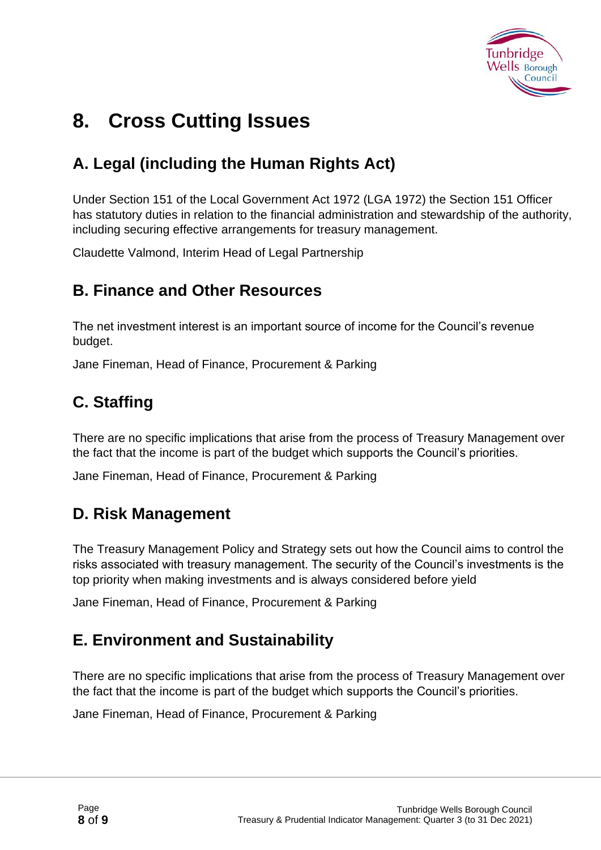

# **8. Cross Cutting Issues**

### **A. Legal (including the Human Rights Act)**

Under Section 151 of the Local Government Act 1972 (LGA 1972) the Section 151 Officer has statutory duties in relation to the financial administration and stewardship of the authority, including securing effective arrangements for treasury management.

Claudette Valmond, Interim Head of Legal Partnership

#### **B. Finance and Other Resources**

The net investment interest is an important source of income for the Council's revenue budget.

Jane Fineman, Head of Finance, Procurement & Parking

### **C. Staffing**

There are no specific implications that arise from the process of Treasury Management over the fact that the income is part of the budget which supports the Council's priorities.

Jane Fineman, Head of Finance, Procurement & Parking

#### **D. Risk Management**

The Treasury Management Policy and Strategy sets out how the Council aims to control the risks associated with treasury management. The security of the Council's investments is the top priority when making investments and is always considered before yield

Jane Fineman, Head of Finance, Procurement & Parking

#### **E. Environment and Sustainability**

There are no specific implications that arise from the process of Treasury Management over the fact that the income is part of the budget which supports the Council's priorities.

Jane Fineman, Head of Finance, Procurement & Parking